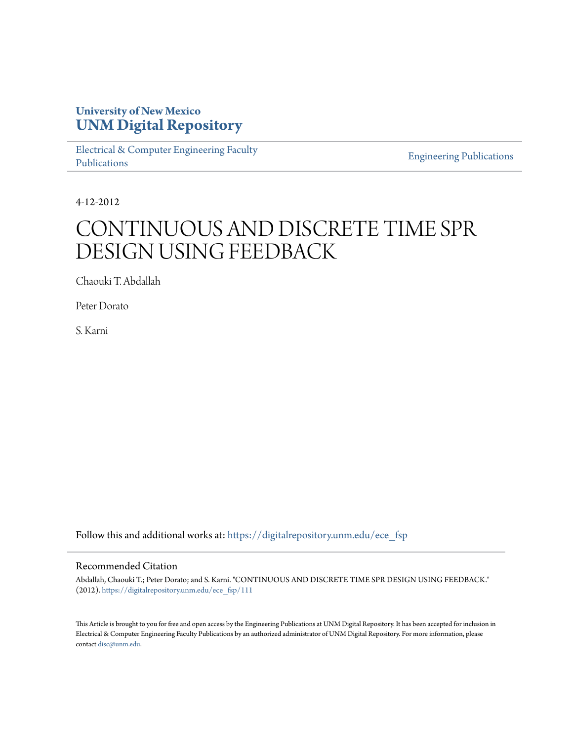## **University of New Mexico [UNM Digital Repository](https://digitalrepository.unm.edu?utm_source=digitalrepository.unm.edu%2Fece_fsp%2F111&utm_medium=PDF&utm_campaign=PDFCoverPages)**

[Electrical & Computer Engineering Faculty](https://digitalrepository.unm.edu/ece_fsp?utm_source=digitalrepository.unm.edu%2Fece_fsp%2F111&utm_medium=PDF&utm_campaign=PDFCoverPages) [Publications](https://digitalrepository.unm.edu/ece_fsp?utm_source=digitalrepository.unm.edu%2Fece_fsp%2F111&utm_medium=PDF&utm_campaign=PDFCoverPages)

[Engineering Publications](https://digitalrepository.unm.edu/eng_fsp?utm_source=digitalrepository.unm.edu%2Fece_fsp%2F111&utm_medium=PDF&utm_campaign=PDFCoverPages)

4-12-2012

# CONTINUOUS AND DISCRETE TIME SPR DESIGN USING FEEDBACK

Chaouki T. Abdallah

Peter Dorato

S. Karni

Follow this and additional works at: [https://digitalrepository.unm.edu/ece\\_fsp](https://digitalrepository.unm.edu/ece_fsp?utm_source=digitalrepository.unm.edu%2Fece_fsp%2F111&utm_medium=PDF&utm_campaign=PDFCoverPages)

### Recommended Citation

Abdallah, Chaouki T.; Peter Dorato; and S. Karni. "CONTINUOUS AND DISCRETE TIME SPR DESIGN USING FEEDBACK." (2012). [https://digitalrepository.unm.edu/ece\\_fsp/111](https://digitalrepository.unm.edu/ece_fsp/111?utm_source=digitalrepository.unm.edu%2Fece_fsp%2F111&utm_medium=PDF&utm_campaign=PDFCoverPages)

This Article is brought to you for free and open access by the Engineering Publications at UNM Digital Repository. It has been accepted for inclusion in Electrical & Computer Engineering Faculty Publications by an authorized administrator of UNM Digital Repository. For more information, please contact [disc@unm.edu.](mailto:disc@unm.edu)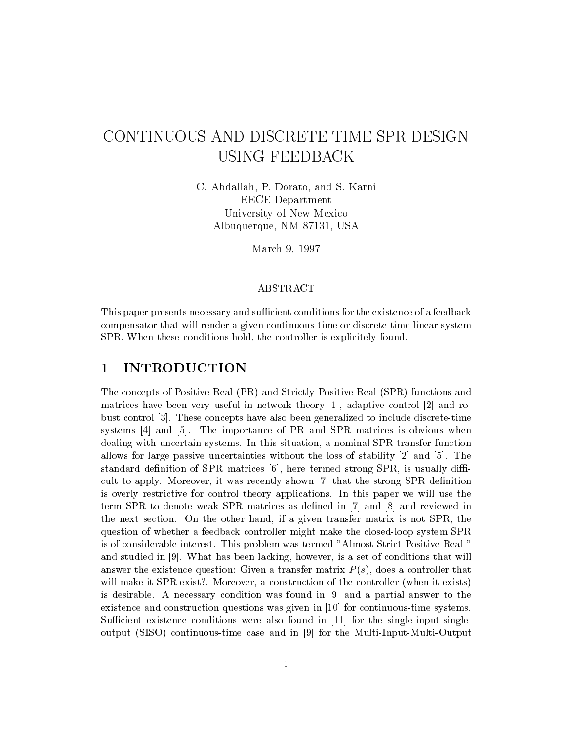# CONTINUOUS AND DISCRETE TIME SPR DESIGN **USING FEEDBACK**

C. Abdallah, P. Dorato, and S. Karni **EECE** Department University of New Mexico Albuquerque, NM 87131, USA

March 9, 1997

### ABSTRACT

This paper presents necessary and sufficient conditions for the existence of a feedback compensator that will render a given continuous-time or discrete-time linear system SPR. When these conditions hold, the controller is explicitely found.

#### **INTRODUCTION**  $\mathbf 1$

The concepts of Positive-Real (PR) and Strictly-Positive-Real (SPR) functions and matrices have been very useful in network theory [1], adaptive control [2] and robust control [3]. These concepts have also been generalized to include discrete-time systems [4] and [5]. The importance of PR and SPR matrices is obvious when dealing with uncertain systems. In this situation, a nominal SPR transfer function allows for large passive uncertainties without the loss of stability  $[2]$  and  $[5]$ . The standard definition of SPR matrices  $[6]$ , here termed strong SPR, is usually difficult to apply. Moreover, it was recently shown [7] that the strong SPR definition is overly restrictive for control theory applications. In this paper we will use the term SPR to denote weak SPR matrices as defined in  $[7]$  and  $[8]$  and reviewed in the next section. On the other hand, if a given transfer matrix is not SPR, the question of whether a feedback controller might make the closed-loop system SPR is of considerable interest. This problem was termed "Almost Strict Positive Real" and studied in [9]. What has been lacking, however, is a set of conditions that will answer the existence question: Given a transfer matrix  $P(s)$ , does a controller that will make it SPR exist?. Moreover, a construction of the controller (when it exists) is desirable. A necessary condition was found in  $[9]$  and a partial answer to the existence and construction questions was given in  $[10]$  for continuous-time systems. Sufficient existence conditions were also found in  $[11]$  for the single-input-singleoutput (SISO) continuous-time case and in [9] for the Multi-Input-Multi-Output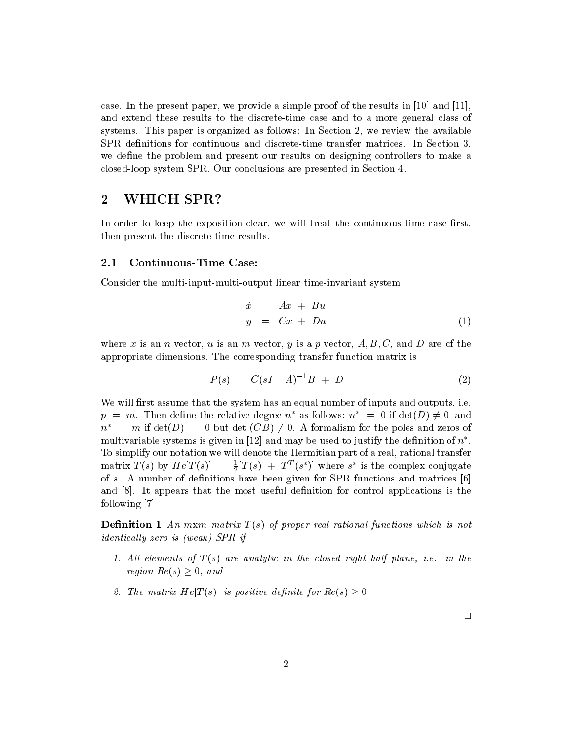case. In the present paper, we provide a simple proof of the results in [10] and [11], and extend these results to the discrete-time case and to a more general class of systems. This paper is organized as follows: In Section 2, we review the available SPR definitions for continuous and discrete-time transfer matrices. In Section 3, we define the problem and present our results on designing controllers to make a closed-loop system SPR. Our conclusions are presented in Section 4.

#### $\bf{2}$ WHICH SPR?

In order to keep the exposition clear, we will treat the continuous-time case first, then present the discrete-time results.

#### $2.1$ **Continuous-Time Case:**

Consider the multi-input-multi-output linear time-invariant system

$$
\begin{array}{rcl}\n\dot{x} & = & Ax + Bu \\
y & = & Cx + Du\n\end{array}\n\tag{1}
$$

where x is an n vector, u is an m vector, y is a p vector, A, B, C, and D are of the appropriate dimensions. The corresponding transfer function matrix is

$$
P(s) = C(sI - A)^{-1}B + D \tag{2}
$$

We will first assume that the system has an equal number of inputs and outputs, i.e.  $p = m$ . Then define the relative degree  $n^*$  as follows:  $n^* = 0$  if  $\det(D) \neq 0$ , and  $n^*$  = m if  $\det(D)$  = 0 but det  $(CB) \neq 0$ . A formalism for the poles and zeros of multivariable systems is given in [12] and may be used to justify the definition of  $n^*$ . To simplify our notation we will denote the Hermitian part of a real, rational transfer matrix  $T(s)$  by  $He[T(s)] = \frac{1}{2}[T(s) + T^{T}(s^{*})]$  where s<sup>\*</sup> is the complex conjugate of s. A number of definitions have been given for SPR functions and matrices  $[6]$ and  $[8]$ . It appears that the most useful definition for control applications is the following  $[7]$ 

**Definition 1** An mxm matrix  $T(s)$  of proper real rational functions which is not *identically zero is (weak)* SPR if

- 1. All elements of  $T(s)$  are analytic in the closed right half plane, i.e. in the region  $Re(s) > 0$ , and
- 2. The matrix  $He[T(s)]$  is positive definite for  $Re(s) \geq 0$ .

 $\Box$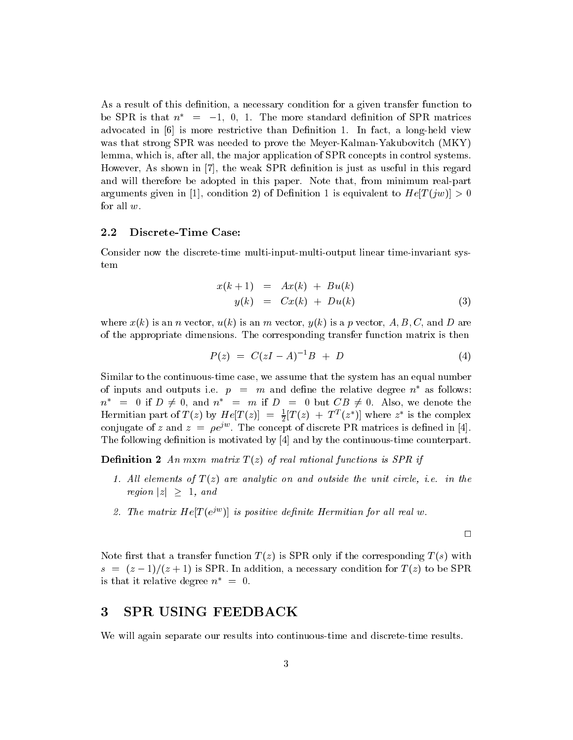As a result of this definition, a necessary condition for a given transfer function to be SPR is that  $n^* = -1$ , 0, 1. The more standard definition of SPR matrices advocated in [6] is more restrictive than Definition 1. In fact, a long-held view was that strong SPR was needed to prove the Meyer-Kalman-Yakubovitch (MKY) lemma, which is, after all, the major application of SPR concepts in control systems. However, As shown in [7], the weak SPR definition is just as useful in this regard and will therefore be adopted in this paper. Note that, from minimum real-part arguments given in [1], condition 2) of Definition 1 is equivalent to  $He[T(jw)] > 0$ for all  $w$ .

#### $2.2$ Discrete-Time Case:

Consider now the discrete-time multi-input-multi-output linear time-invariant system

$$
x(k+1) = Ax(k) + Bu(k)
$$
  

$$
y(k) = Cx(k) + Du(k)
$$
 (3)

where  $x(k)$  is an *n* vector,  $u(k)$  is an *m* vector,  $y(k)$  is a *p* vector, A, B, C, and D are of the appropriate dimensions. The corresponding transfer function matrix is then

$$
P(z) = C(zI - A)^{-1}B + D \tag{4}
$$

Similar to the continuous-time case, we assume that the system has an equal number of inputs and outputs i.e.  $p = m$  and define the relative degree  $n^*$  as follows:  $n^*$  = 0 if  $D \neq 0$ , and  $n^*$  = m if  $D = 0$  but  $CB \neq 0$ . Also, we denote the Hermitian part of  $T(z)$  by  $He[T(z)] = \frac{1}{2}[T(z) + T^{T}(z^{*})]$  where  $z^{*}$  is the complex conjugate of z and  $z = \rho e^{jw}$ . The concept of discrete PR matrices is defined in [4]. The following definition is motivated by  $[4]$  and by the continuous-time counterpart.

**Definition 2** An mxm matrix  $T(z)$  of real rational functions is SPR if

- 1. All elements of  $T(z)$  are analytic on and outside the unit circle, i.e. in the *region*  $|z| \geq 1$ , and
- 2. The matrix  $He[T(e^{jw})]$  is positive definite Hermitian for all real w.

 $\Box$ 

Note first that a transfer function  $T(z)$  is SPR only if the corresponding  $T(s)$  with  $s = (z-1)/(z+1)$  is SPR. In addition, a necessary condition for  $T(z)$  to be SPR. is that it relative degree  $n^* = 0$ .

#### $\bf{3}$ SPR USING FEEDBACK

We will again separate our results into continuous-time and discrete-time results.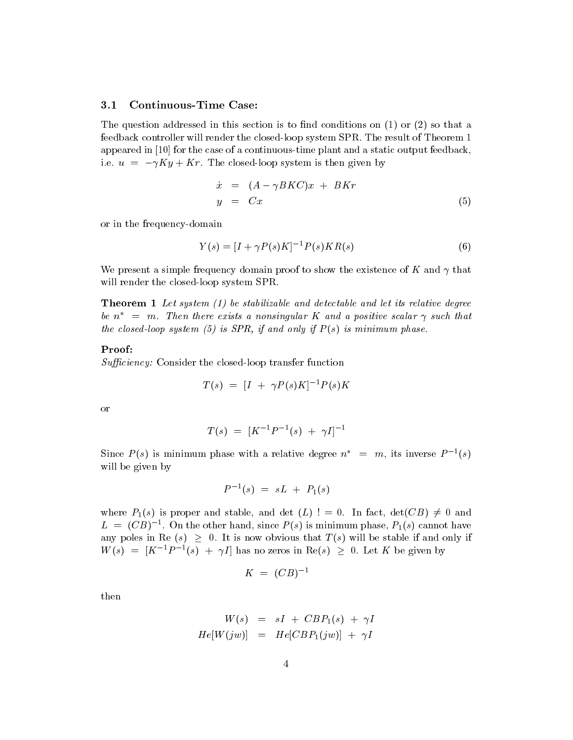#### **Continuous-Time Case:**  $3.1$

The question addressed in this section is to find conditions on  $(1)$  or  $(2)$  so that a feedback controller will render the closed-loop system SPR. The result of Theorem 1 appeared in  $[10]$  for the case of a continuous-time plant and a static output feedback, i.e.  $u = -\gamma K y + K r$ . The closed-loop system is then given by

$$
\begin{array}{rcl}\n\dot{x} & = & (A - \gamma BKC)x + BKr \\
y & = & Cx\n\end{array}\n\tag{5}
$$

or in the frequency-domain

$$
Y(s) = [I + \gamma P(s)K]^{-1} P(s)KR(s)
$$
\n(6)

We present a simple frequency domain proof to show the existence of K and  $\gamma$  that will render the closed-loop system SPR.

**Theorem 1** Let system  $(1)$  be stabilizable and detectable and let its relative degree be  $n^*$  = m. Then there exists a nonsingular K and a positive scalar  $\gamma$  such that the closed-loop system (5) is SPR, if and only if  $P(s)$  is minimum phase.

### Proof:

*Sufficiency:* Consider the closed-loop transfer function

$$
T(s) = [I + \gamma P(s)K]^{-1} P(s)K
$$

<sub>or</sub>

$$
T(s) = [K^{-1}P^{-1}(s) + \gamma I]^{-1}
$$

Since  $P(s)$  is minimum phase with a relative degree  $n^* = m$ , its inverse  $P^{-1}(s)$ will be given by

$$
P^{-1}(s) = sL + P_1(s)
$$

where  $P_1(s)$  is proper and stable, and det  $(L)$ ! = 0. In fact,  $det(CB) \neq 0$  and  $L = (CB)^{-1}$ . On the other hand, since  $P(s)$  is minimum phase,  $P_1(s)$  cannot have any poles in Re  $(s) \geq 0$ . It is now obvious that  $T(s)$  will be stable if and only if  $W(s) = [K^{-1}P^{-1}(s) + \gamma I]$  has no zeros in Re(s)  $\geq 0$ . Let K be given by

$$
K = (CB)^{-1}
$$

then

$$
W(s) = sI + CBP_1(s) + \gamma I
$$
  

$$
He[W(jw)] = He[CBP_1(jw)] + \gamma I
$$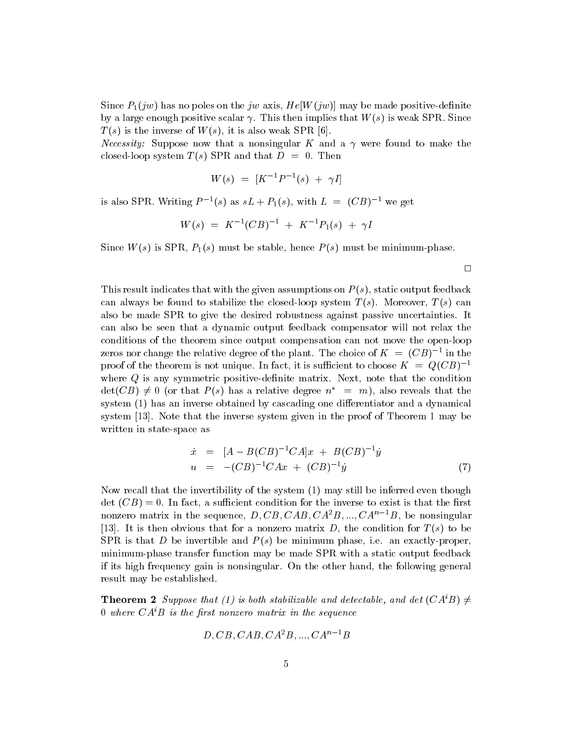Since  $P_1(iw)$  has no poles on the jw axis,  $He[W(iw)]$  may be made positive-definite by a large enough positive scalar  $\gamma$ . This then implies that  $W(s)$  is weak SPR. Since  $T(s)$  is the inverse of  $W(s)$ , it is also weak SPR [6].

*Necessity:* Suppose now that a nonsingular K and a  $\gamma$  were found to make the closed-loop system  $T(s)$  SPR and that  $D = 0$ . Then

$$
W(s) = [K^{-1}P^{-1}(s) + \gamma I]
$$

is also SPR. Writing  $P^{-1}(s)$  as  $sL + P_1(s)$ , with  $L = (CB)^{-1}$  we get

$$
W(s) = K^{-1} (CB)^{-1} + K^{-1} P_1(s) + \gamma I
$$

Since  $W(s)$  is SPR,  $P_1(s)$  must be stable, hence  $P(s)$  must be minimum-phase.

This result indicates that with the given assumptions on  $P(s)$ , static output feedback can always be found to stabilize the closed-loop system  $T(s)$ . Moreover,  $T(s)$  can also be made SPR to give the desired robustness against passive uncertainties. It can also be seen that a dynamic output feedback compensator will not relax the conditions of the theorem since output compensation can not move the open-loop zeros nor change the relative degree of the plant. The choice of  $K = (CB)^{-1}$  in the proof of the theorem is not unique. In fact, it is sufficient to choose  $K = Q(CB)^{-1}$ where  $Q$  is any symmetric positive-definite matrix. Next, note that the condition  $\det(CB) \neq 0$  (or that  $P(s)$  has a relative degree  $n^* = m$ ), also reveals that the system (1) has an inverse obtained by cascading one differentiator and a dynamical system [13]. Note that the inverse system given in the proof of Theorem 1 may be written in state-space as

$$
\dot{x} = [A - B(CB)^{-1}CA]x + B(CB)^{-1}\dot{y}
$$
  
\n
$$
u = -(CB)^{-1}CAx + (CB)^{-1}\dot{y}
$$
\n(7)

 $\Box$ 

Now recall that the invertibility of the system (1) may still be inferred even though det  $(CB) = 0$ . In fact, a sufficient condition for the inverse to exist is that the first nonzero matrix in the sequence, D, CB, CAB, CA<sup>2</sup>B, ..., CA<sup>n-1</sup>B, be nonsingular [13]. It is then obvious that for a nonzero matrix D, the condition for  $T(s)$  to be SPR is that D be invertible and  $P(s)$  be minimum phase, i.e. an exactly-proper, minimum-phase transfer function may be made SPR with a static output feedback if its high frequency gain is nonsingular. On the other hand, the following general result may be established.

**Theorem 2** Suppose that (1) is both stabilizable and detectable, and det  $(CA^{i}B) \neq$ 0 where  $CA^iB$  is the first nonzero matrix in the sequence

$$
D, CB, CAB, CA^2B, ..., CA^{n-1}B
$$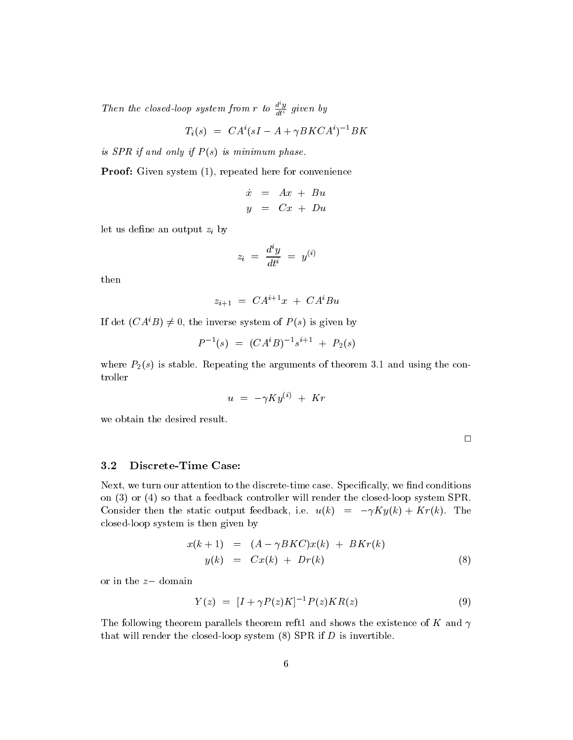Then the closed-loop system from r to  $\frac{d^i y}{dt^i}$  given by

$$
T_i(s) = CA^i(sI - A + \gamma B KCA^i)^{-1}BK
$$

is SPR if and only if  $P(s)$  is minimum phase.

**Proof:** Given system (1), repeated here for convenience

$$
\begin{array}{rcl}\n\dot{x} & = & Ax + Bu \\
y & = & Cx + Du\n\end{array}
$$

let us define an output  $z_i$  by

$$
z_i\,\,=\,\,\frac{d^iy}{dt^i}\,\,=\,\,y^{(i)}
$$

then

$$
z_{i+1} = CA^{i+1}x + CA^iBu
$$

If det  $(CA^iB) \neq 0$ , the inverse system of  $P(s)$  is given by

$$
P^{-1}(s) = (CA^iB)^{-1}s^{i+1} + P_2(s)
$$

where  $P_2(s)$  is stable. Repeating the arguments of theorem 3.1 and using the controller

$$
u\,\,=\,\,-\gamma K y^{(i)}\,\,+\,\,Kr
$$

we obtain the desired result.

#### $3.2$ Discrete-Time Case:

Next, we turn our attention to the discrete-time case. Specifically, we find conditions on  $(3)$  or  $(4)$  so that a feedback controller will render the closed-loop system SPR. Consider then the static output feedback, i.e.  $u(k) = -\gamma K y(k) + K r(k)$ . The closed-loop system is then given by

$$
x(k+1) = (A - \gamma BKC)x(k) + BKr(k)
$$
  

$$
y(k) = Cx(k) + Dr(k)
$$
 (8)

or in the  $z-$  domain

$$
Y(z) = [I + \gamma P(z)K]^{-1} P(z)KR(z)
$$
\n(9)

The following theorem parallels theorem reft1 and shows the existence of K and  $\gamma$ that will render the closed-loop system  $(8)$  SPR if D is invertible.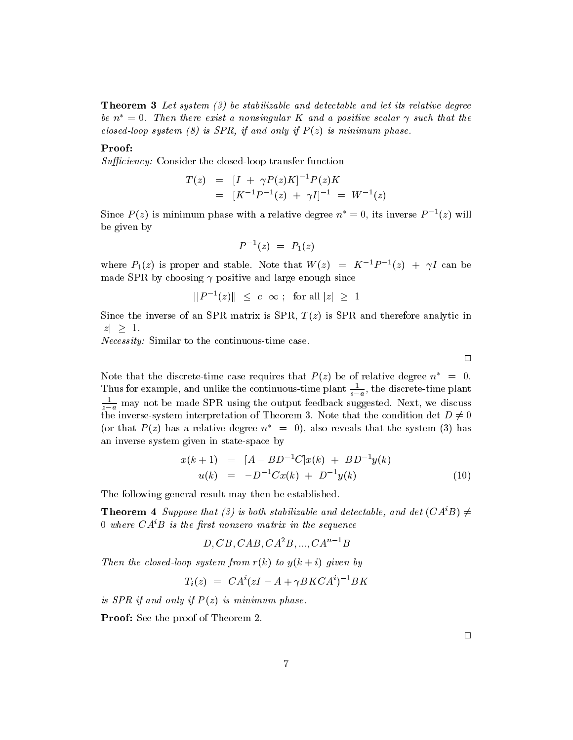**Theorem 3** Let system (3) be stabilizable and detectable and let its relative degree be  $n^* = 0$ . Then there exist a nonsingular K and a positive scalar  $\gamma$  such that the closed-loop system (8) is SPR, if and only if  $P(z)$  is minimum phase.

### Proof:

*Sufficiency:* Consider the closed-loop transfer function

$$
T(z) = [I + \gamma P(z)K]^{-1} P(z)K
$$
  
= 
$$
[K^{-1}P^{-1}(z) + \gamma I]^{-1} = W^{-1}(z)
$$

Since  $P(z)$  is minimum phase with a relative degree  $n^* = 0$ , its inverse  $P^{-1}(z)$  will be given by

$$
P^{-1}(z) = P_1(z)
$$

where  $P_1(z)$  is proper and stable. Note that  $W(z) = K^{-1}P^{-1}(z) + \gamma I$  can be made SPR by choosing  $\gamma$  positive and large enough since

$$
||P^{-1}(z)|| \ \leq \ c \ \infty \ ; \ \text{ for all } |z| \ \geq \ 1
$$

Since the inverse of an SPR matrix is SPR,  $T(z)$  is SPR and therefore analytic in  $|z| \geq 1$ .

*Necessity:* Similar to the continuous-time case.

 $\Box$ 

Note that the discrete-time case requires that  $P(z)$  be of relative degree  $n^* = 0$ . Thus for example, and unlike the continuous-time plant  $\frac{1}{s-a}$ , the discrete-time plant  $\frac{1}{z-a}$  may not be made SPR using the output feedback suggested. Next, we discuss the inverse-system interpretation of Theorem 3. Note that the condition det  $D \neq 0$ (or that  $P(z)$  has a relative degree  $n^* = 0$ ), also reveals that the system (3) has an inverse system given in state-space by

$$
x(k+1) = [A - BD^{-1}C]x(k) + BD^{-1}y(k)
$$
  
 
$$
u(k) = -D^{-1}Cx(k) + D^{-1}y(k)
$$
 (10)

The following general result may then be established.

**Theorem 4** Suppose that (3) is both stabilizable and detectable, and det  $(CA<sup>i</sup>B) \neq$ 0 where  $CA^iB$  is the first nonzero matrix in the sequence

 $D, CB, CAB, CA^2B, \ldots, CA^{n-1}B$ 

Then the closed-loop system from  $r(k)$  to  $y(k + i)$  given by

$$
T_i(z) = CA^i(zI - A + \gamma B K C A^i)^{-1} B K
$$

is SPR if and only if  $P(z)$  is minimum phase.

**Proof:** See the proof of Theorem 2.

 $\Box$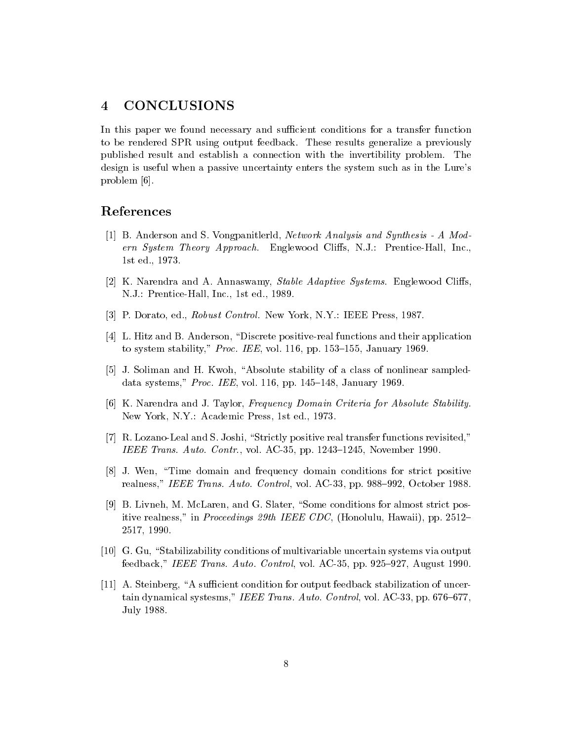#### **CONCLUSIONS**  $\boldsymbol{4}$

In this paper we found necessary and sufficient conditions for a transfer function to be rendered SPR using output feedback. These results generalize a previously published result and establish a connection with the invertibility problem. The design is useful when a passive uncertainty enters the system such as in the Lure's problem  $[6]$ .

### References

- [1] B. Anderson and S. Vongpanitlerld, *Network Analysis and Synthesis A Mod*ern System Theory Approach. Englewood Cliffs, N.J.: Prentice-Hall, Inc., 1st ed., 1973.
- [2] K. Narendra and A. Annaswamy, *Stable Adaptive Systems*. Englewood Cliffs, N.J.: Prentice-Hall, Inc., 1st ed., 1989.
- [3] P. Dorato, ed., Robust Control. New York, N.Y.: IEEE Press, 1987.
- [4] L. Hitz and B. Anderson, "Discrete positive-real functions and their application to system stability," Proc. IEE, vol. 116, pp. 153-155, January 1969.
- [5] J. Soliman and H. Kwoh, "Absolute stability of a class of nonlinear sampleddata systems," Proc. IEE, vol. 116, pp. 145-148, January 1969.
- [6] K. Narendra and J. Taylor, Frequency Domain Criteria for Absolute Stability. New York, N.Y.: Academic Press, 1st ed., 1973.
- [7] R. Lozano-Leal and S. Joshi, "Strictly positive real transfer functions revisited," IEEE Trans. Auto. Contr., vol. AC-35, pp. 1243-1245, November 1990.
- [8] J. Wen, "Time domain and frequency domain conditions for strict positive realness," IEEE Trans. Auto. Control, vol. AC-33, pp. 988–992, October 1988.
- [9] B. Livneh, M. McLaren, and G. Slater, "Some conditions for almost strict positive realness," in *Proceedings 29th IEEE CDC*, (Honolulu, Hawaii), pp. 2512– 2517, 1990.
- [10] G. Gu, "Stabilizability conditions of multivariable uncertain systems via output feedback," IEEE Trans. Auto. Control, vol. AC-35, pp. 925–927, August 1990.
- [11] A. Steinberg, "A sufficient condition for output feedback stabilization of uncertain dynamical systesms," IEEE Trans. Auto. Control, vol. AC-33, pp. 676-677, July 1988.